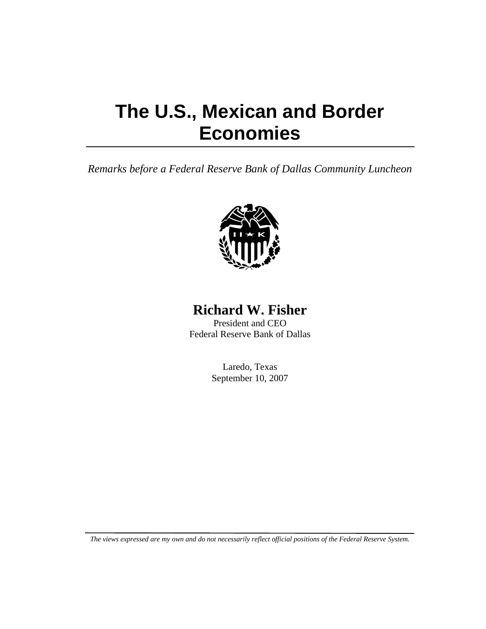# **The U.S., Mexican and Border Economies**

*Remarks before a Federal Reserve Bank of Dallas Community Luncheon* 



## **Richard W. Fisher**

President and CEO Federal Reserve Bank of Dallas

> Laredo, Texas September 10, 2007

*The views expressed are my own and do not necessarily reflect official positions of the Federal Reserve System.*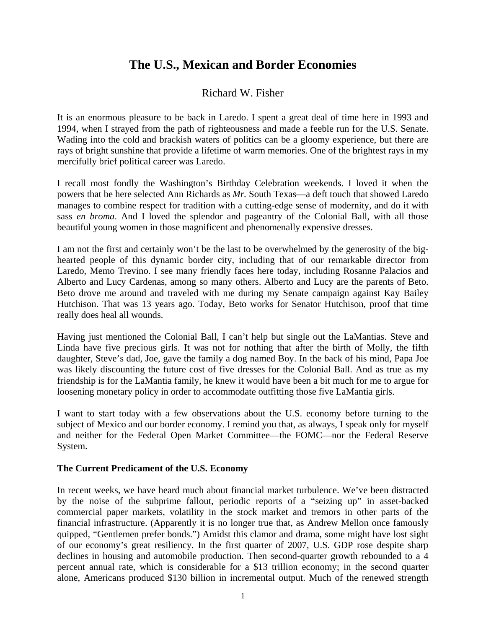## **The U.S., Mexican and Border Economies**

### Richard W. Fisher

It is an enormous pleasure to be back in Laredo. I spent a great deal of time here in 1993 and 1994, when I strayed from the path of righteousness and made a feeble run for the U.S. Senate. Wading into the cold and brackish waters of politics can be a gloomy experience, but there are rays of bright sunshine that provide a lifetime of warm memories. One of the brightest rays in my mercifully brief political career was Laredo.

I recall most fondly the Washington's Birthday Celebration weekends. I loved it when the powers that be here selected Ann Richards as *Mr.* South Texas—a deft touch that showed Laredo manages to combine respect for tradition with a cutting-edge sense of modernity, and do it with sass *en broma*. And I loved the splendor and pageantry of the Colonial Ball, with all those beautiful young women in those magnificent and phenomenally expensive dresses.

I am not the first and certainly won't be the last to be overwhelmed by the generosity of the bighearted people of this dynamic border city, including that of our remarkable director from Laredo, Memo Trevino. I see many friendly faces here today, including Rosanne Palacios and Alberto and Lucy Cardenas, among so many others. Alberto and Lucy are the parents of Beto. Beto drove me around and traveled with me during my Senate campaign against Kay Bailey Hutchison. That was 13 years ago. Today, Beto works for Senator Hutchison, proof that time really does heal all wounds.

Having just mentioned the Colonial Ball, I can't help but single out the LaMantias. Steve and Linda have five precious girls. It was not for nothing that after the birth of Molly, the fifth daughter, Steve's dad, Joe, gave the family a dog named Boy. In the back of his mind, Papa Joe was likely discounting the future cost of five dresses for the Colonial Ball. And as true as my friendship is for the LaMantia family, he knew it would have been a bit much for me to argue for loosening monetary policy in order to accommodate outfitting those five LaMantia girls.

I want to start today with a few observations about the U.S. economy before turning to the subject of Mexico and our border economy. I remind you that, as always, I speak only for myself and neither for the Federal Open Market Committee—the FOMC—nor the Federal Reserve System.

#### **The Current Predicament of the U.S. Economy**

In recent weeks, we have heard much about financial market turbulence. We've been distracted by the noise of the subprime fallout, periodic reports of a "seizing up" in asset-backed commercial paper markets, volatility in the stock market and tremors in other parts of the financial infrastructure. (Apparently it is no longer true that, as Andrew Mellon once famously quipped, "Gentlemen prefer bonds.") Amidst this clamor and drama, some might have lost sight of our economy's great resiliency. In the first quarter of 2007, U.S. GDP rose despite sharp declines in housing and automobile production. Then second-quarter growth rebounded to a 4 percent annual rate, which is considerable for a \$13 trillion economy; in the second quarter alone, Americans produced \$130 billion in incremental output. Much of the renewed strength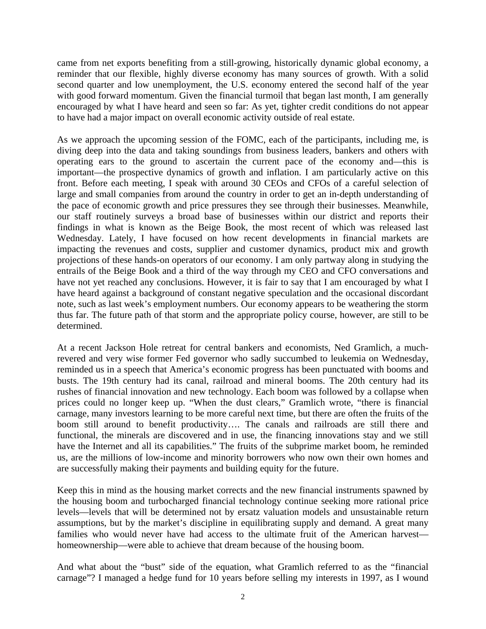came from net exports benefiting from a still-growing, historically dynamic global economy, a reminder that our flexible, highly diverse economy has many sources of growth. With a solid second quarter and low unemployment, the U.S. economy entered the second half of the year with good forward momentum. Given the financial turmoil that began last month, I am generally encouraged by what I have heard and seen so far: As yet, tighter credit conditions do not appear to have had a major impact on overall economic activity outside of real estate.

As we approach the upcoming session of the FOMC, each of the participants, including me, is diving deep into the data and taking soundings from business leaders, bankers and others with operating ears to the ground to ascertain the current pace of the economy and—this is important—the prospective dynamics of growth and inflation. I am particularly active on this front. Before each meeting, I speak with around 30 CEOs and CFOs of a careful selection of large and small companies from around the country in order to get an in-depth understanding of the pace of economic growth and price pressures they see through their businesses. Meanwhile, our staff routinely surveys a broad base of businesses within our district and reports their findings in what is known as the Beige Book, the most recent of which was released last Wednesday. Lately, I have focused on how recent developments in financial markets are impacting the revenues and costs, supplier and customer dynamics, product mix and growth projections of these hands-on operators of our economy. I am only partway along in studying the entrails of the Beige Book and a third of the way through my CEO and CFO conversations and have not yet reached any conclusions. However, it is fair to say that I am encouraged by what I have heard against a background of constant negative speculation and the occasional discordant note, such as last week's employment numbers. Our economy appears to be weathering the storm thus far. The future path of that storm and the appropriate policy course, however, are still to be determined.

At a recent Jackson Hole retreat for central bankers and economists, Ned Gramlich, a muchrevered and very wise former Fed governor who sadly succumbed to leukemia on Wednesday, reminded us in a speech that America's economic progress has been punctuated with booms and busts. The 19th century had its canal, railroad and mineral booms. The 20th century had its rushes of financial innovation and new technology. Each boom was followed by a collapse when prices could no longer keep up. "When the dust clears," Gramlich wrote, "there is financial carnage, many investors learning to be more careful next time, but there are often the fruits of the boom still around to benefit productivity…. The canals and railroads are still there and functional, the minerals are discovered and in use, the financing innovations stay and we still have the Internet and all its capabilities." The fruits of the subprime market boom, he reminded us, are the millions of low-income and minority borrowers who now own their own homes and are successfully making their payments and building equity for the future.

Keep this in mind as the housing market corrects and the new financial instruments spawned by the housing boom and turbocharged financial technology continue seeking more rational price levels—levels that will be determined not by ersatz valuation models and unsustainable return assumptions, but by the market's discipline in equilibrating supply and demand. A great many families who would never have had access to the ultimate fruit of the American harvest homeownership—were able to achieve that dream because of the housing boom.

And what about the "bust" side of the equation, what Gramlich referred to as the "financial carnage"? I managed a hedge fund for 10 years before selling my interests in 1997, as I wound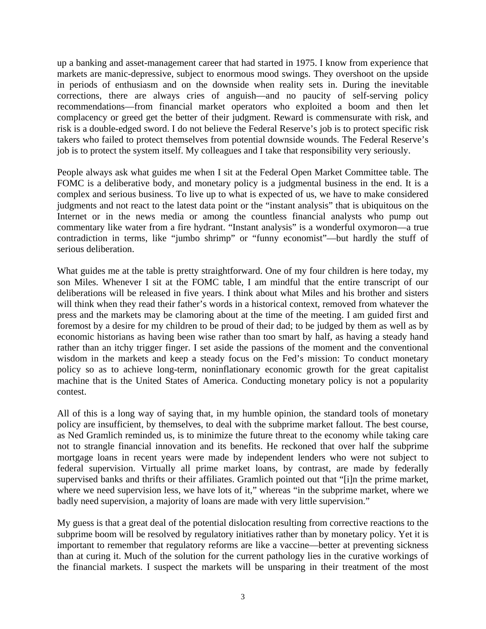up a banking and asset-management career that had started in 1975. I know from experience that markets are manic-depressive, subject to enormous mood swings. They overshoot on the upside in periods of enthusiasm and on the downside when reality sets in. During the inevitable corrections, there are always cries of anguish—and no paucity of self-serving policy recommendations—from financial market operators who exploited a boom and then let complacency or greed get the better of their judgment. Reward is commensurate with risk, and risk is a double-edged sword. I do not believe the Federal Reserve's job is to protect specific risk takers who failed to protect themselves from potential downside wounds. The Federal Reserve's job is to protect the system itself. My colleagues and I take that responsibility very seriously.

People always ask what guides me when I sit at the Federal Open Market Committee table. The FOMC is a deliberative body, and monetary policy is a judgmental business in the end. It is a complex and serious business. To live up to what is expected of us, we have to make considered judgments and not react to the latest data point or the "instant analysis" that is ubiquitous on the Internet or in the news media or among the countless financial analysts who pump out commentary like water from a fire hydrant. "Instant analysis" is a wonderful oxymoron—a true contradiction in terms, like "jumbo shrimp" or "funny economist"—but hardly the stuff of serious deliberation.

What guides me at the table is pretty straightforward. One of my four children is here today, my son Miles. Whenever I sit at the FOMC table, I am mindful that the entire transcript of our deliberations will be released in five years. I think about what Miles and his brother and sisters will think when they read their father's words in a historical context, removed from whatever the press and the markets may be clamoring about at the time of the meeting. I am guided first and foremost by a desire for my children to be proud of their dad; to be judged by them as well as by economic historians as having been wise rather than too smart by half, as having a steady hand rather than an itchy trigger finger. I set aside the passions of the moment and the conventional wisdom in the markets and keep a steady focus on the Fed's mission: To conduct monetary policy so as to achieve long-term, noninflationary economic growth for the great capitalist machine that is the United States of America. Conducting monetary policy is not a popularity contest.

All of this is a long way of saying that, in my humble opinion, the standard tools of monetary policy are insufficient, by themselves, to deal with the subprime market fallout. The best course, as Ned Gramlich reminded us, is to minimize the future threat to the economy while taking care not to strangle financial innovation and its benefits. He reckoned that over half the subprime mortgage loans in recent years were made by independent lenders who were not subject to federal supervision. Virtually all prime market loans, by contrast, are made by federally supervised banks and thrifts or their affiliates. Gramlich pointed out that "[i]n the prime market, where we need supervision less, we have lots of it," whereas "in the subprime market, where we badly need supervision, a majority of loans are made with very little supervision."

My guess is that a great deal of the potential dislocation resulting from corrective reactions to the subprime boom will be resolved by regulatory initiatives rather than by monetary policy. Yet it is important to remember that regulatory reforms are like a vaccine—better at preventing sickness than at curing it. Much of the solution for the current pathology lies in the curative workings of the financial markets. I suspect the markets will be unsparing in their treatment of the most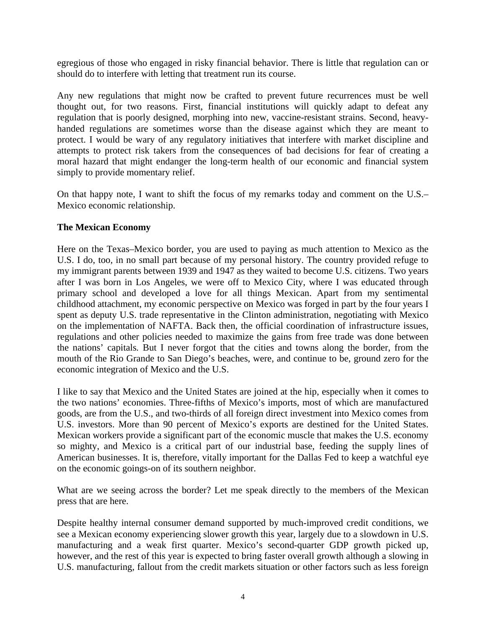egregious of those who engaged in risky financial behavior. There is little that regulation can or should do to interfere with letting that treatment run its course.

Any new regulations that might now be crafted to prevent future recurrences must be well thought out, for two reasons. First, financial institutions will quickly adapt to defeat any regulation that is poorly designed, morphing into new, vaccine-resistant strains. Second, heavyhanded regulations are sometimes worse than the disease against which they are meant to protect. I would be wary of any regulatory initiatives that interfere with market discipline and attempts to protect risk takers from the consequences of bad decisions for fear of creating a moral hazard that might endanger the long-term health of our economic and financial system simply to provide momentary relief.

On that happy note, I want to shift the focus of my remarks today and comment on the U.S.– Mexico economic relationship.

#### **The Mexican Economy**

Here on the Texas–Mexico border, you are used to paying as much attention to Mexico as the U.S. I do, too, in no small part because of my personal history. The country provided refuge to my immigrant parents between 1939 and 1947 as they waited to become U.S. citizens. Two years after I was born in Los Angeles, we were off to Mexico City, where I was educated through primary school and developed a love for all things Mexican. Apart from my sentimental childhood attachment, my economic perspective on Mexico was forged in part by the four years I spent as deputy U.S. trade representative in the Clinton administration, negotiating with Mexico on the implementation of NAFTA. Back then, the official coordination of infrastructure issues, regulations and other policies needed to maximize the gains from free trade was done between the nations' capitals*.* But I never forgot that the cities and towns along the border, from the mouth of the Rio Grande to San Diego's beaches, were, and continue to be, ground zero for the economic integration of Mexico and the U.S.

I like to say that Mexico and the United States are joined at the hip, especially when it comes to the two nations' economies. Three-fifths of Mexico's imports, most of which are manufactured goods, are from the U.S., and two-thirds of all foreign direct investment into Mexico comes from U.S. investors. More than 90 percent of Mexico's exports are destined for the United States. Mexican workers provide a significant part of the economic muscle that makes the U.S. economy so mighty, and Mexico is a critical part of our industrial base, feeding the supply lines of American businesses. It is, therefore, vitally important for the Dallas Fed to keep a watchful eye on the economic goings-on of its southern neighbor.

What are we seeing across the border? Let me speak directly to the members of the Mexican press that are here.

Despite healthy internal consumer demand supported by much-improved credit conditions, we see a Mexican economy experiencing slower growth this year, largely due to a slowdown in U.S. manufacturing and a weak first quarter. Mexico's second-quarter GDP growth picked up, however, and the rest of this year is expected to bring faster overall growth although a slowing in U.S. manufacturing, fallout from the credit markets situation or other factors such as less foreign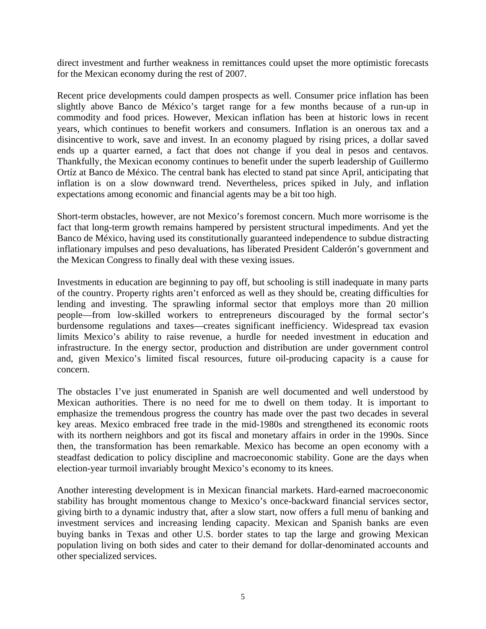direct investment and further weakness in remittances could upset the more optimistic forecasts for the Mexican economy during the rest of 2007.

Recent price developments could dampen prospects as well. Consumer price inflation has been slightly above Banco de México's target range for a few months because of a run-up in commodity and food prices. However, Mexican inflation has been at historic lows in recent years, which continues to benefit workers and consumers. Inflation is an onerous tax and a disincentive to work, save and invest. In an economy plagued by rising prices, a dollar saved ends up a quarter earned, a fact that does not change if you deal in pesos and centavos. Thankfully, the Mexican economy continues to benefit under the superb leadership of Guillermo Ortíz at Banco de México. The central bank has elected to stand pat since April, anticipating that inflation is on a slow downward trend. Nevertheless, prices spiked in July, and inflation expectations among economic and financial agents may be a bit too high.

Short-term obstacles, however, are not Mexico's foremost concern. Much more worrisome is the fact that long-term growth remains hampered by persistent structural impediments. And yet the Banco de México, having used its constitutionally guaranteed independence to subdue distracting inflationary impulses and peso devaluations, has liberated President Calderón's government and the Mexican Congress to finally deal with these vexing issues.

Investments in education are beginning to pay off, but schooling is still inadequate in many parts of the country. Property rights aren't enforced as well as they should be, creating difficulties for lending and investing. The sprawling informal sector that employs more than 20 million people—from low-skilled workers to entrepreneurs discouraged by the formal sector's burdensome regulations and taxes—creates significant inefficiency. Widespread tax evasion limits Mexico's ability to raise revenue, a hurdle for needed investment in education and infrastructure. In the energy sector, production and distribution are under government control and, given Mexico's limited fiscal resources, future oil-producing capacity is a cause for concern.

The obstacles I've just enumerated in Spanish are well documented and well understood by Mexican authorities. There is no need for me to dwell on them today. It is important to emphasize the tremendous progress the country has made over the past two decades in several key areas. Mexico embraced free trade in the mid-1980s and strengthened its economic roots with its northern neighbors and got its fiscal and monetary affairs in order in the 1990s. Since then, the transformation has been remarkable. Mexico has become an open economy with a steadfast dedication to policy discipline and macroeconomic stability. Gone are the days when election-year turmoil invariably brought Mexico's economy to its knees.

Another interesting development is in Mexican financial markets. Hard-earned macroeconomic stability has brought momentous change to Mexico's once-backward financial services sector, giving birth to a dynamic industry that, after a slow start, now offers a full menu of banking and investment services and increasing lending capacity. Mexican and Spanish banks are even buying banks in Texas and other U.S. border states to tap the large and growing Mexican population living on both sides and cater to their demand for dollar-denominated accounts and other specialized services.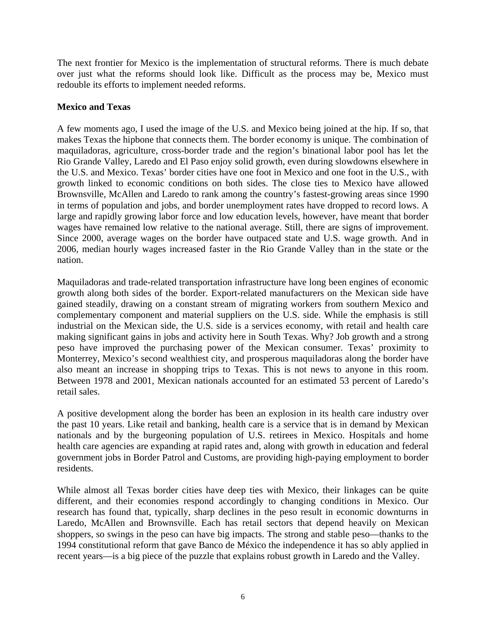The next frontier for Mexico is the implementation of structural reforms. There is much debate over just what the reforms should look like. Difficult as the process may be, Mexico must redouble its efforts to implement needed reforms.

#### **Mexico and Texas**

A few moments ago, I used the image of the U.S. and Mexico being joined at the hip. If so, that makes Texas the hipbone that connects them. The border economy is unique. The combination of maquiladoras, agriculture, cross-border trade and the region's binational labor pool has let the Rio Grande Valley, Laredo and El Paso enjoy solid growth, even during slowdowns elsewhere in the U.S. and Mexico. Texas' border cities have one foot in Mexico and one foot in the U.S., with growth linked to economic conditions on both sides. The close ties to Mexico have allowed Brownsville, McAllen and Laredo to rank among the country's fastest-growing areas since 1990 in terms of population and jobs, and border unemployment rates have dropped to record lows. A large and rapidly growing labor force and low education levels, however, have meant that border wages have remained low relative to the national average. Still, there are signs of improvement. Since 2000, average wages on the border have outpaced state and U.S. wage growth. And in 2006, median hourly wages increased faster in the Rio Grande Valley than in the state or the nation.

Maquiladoras and trade-related transportation infrastructure have long been engines of economic growth along both sides of the border. Export-related manufacturers on the Mexican side have gained steadily, drawing on a constant stream of migrating workers from southern Mexico and complementary component and material suppliers on the U.S. side. While the emphasis is still industrial on the Mexican side, the U.S. side is a services economy, with retail and health care making significant gains in jobs and activity here in South Texas. Why? Job growth and a strong peso have improved the purchasing power of the Mexican consumer. Texas' proximity to Monterrey, Mexico's second wealthiest city, and prosperous maquiladoras along the border have also meant an increase in shopping trips to Texas. This is not news to anyone in this room. Between 1978 and 2001, Mexican nationals accounted for an estimated 53 percent of Laredo's retail sales.

A positive development along the border has been an explosion in its health care industry over the past 10 years. Like retail and banking, health care is a service that is in demand by Mexican nationals and by the burgeoning population of U.S. retirees in Mexico. Hospitals and home health care agencies are expanding at rapid rates and, along with growth in education and federal government jobs in Border Patrol and Customs, are providing high-paying employment to border residents.

While almost all Texas border cities have deep ties with Mexico, their linkages can be quite different, and their economies respond accordingly to changing conditions in Mexico. Our research has found that, typically, sharp declines in the peso result in economic downturns in Laredo, McAllen and Brownsville. Each has retail sectors that depend heavily on Mexican shoppers, so swings in the peso can have big impacts. The strong and stable peso—thanks to the 1994 constitutional reform that gave Banco de México the independence it has so ably applied in recent years—is a big piece of the puzzle that explains robust growth in Laredo and the Valley.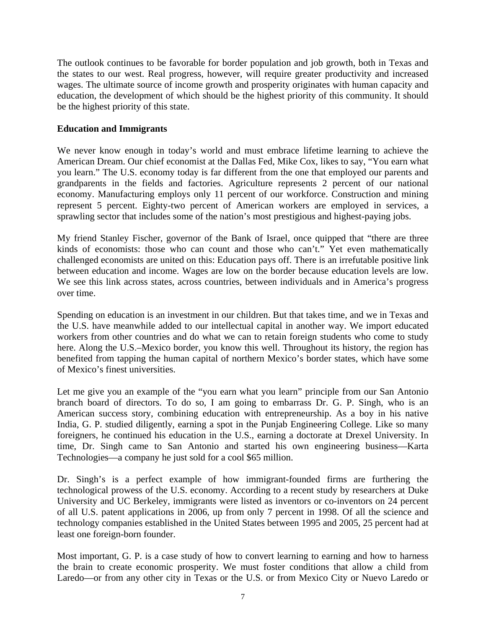The outlook continues to be favorable for border population and job growth, both in Texas and the states to our west. Real progress, however, will require greater productivity and increased wages. The ultimate source of income growth and prosperity originates with human capacity and education, the development of which should be the highest priority of this community. It should be the highest priority of this state.

#### **Education and Immigrants**

We never know enough in today's world and must embrace lifetime learning to achieve the American Dream. Our chief economist at the Dallas Fed, Mike Cox, likes to say, "You earn what you learn." The U.S. economy today is far different from the one that employed our parents and grandparents in the fields and factories. Agriculture represents 2 percent of our national economy. Manufacturing employs only 11 percent of our workforce. Construction and mining represent 5 percent. Eighty-two percent of American workers are employed in services, a sprawling sector that includes some of the nation's most prestigious and highest-paying jobs.

My friend Stanley Fischer, governor of the Bank of Israel, once quipped that "there are three kinds of economists: those who can count and those who can't." Yet even mathematically challenged economists are united on this: Education pays off. There is an irrefutable positive link between education and income. Wages are low on the border because education levels are low. We see this link across states, across countries, between individuals and in America's progress over time.

Spending on education is an investment in our children. But that takes time, and we in Texas and the U.S. have meanwhile added to our intellectual capital in another way. We import educated workers from other countries and do what we can to retain foreign students who come to study here. Along the U.S.–Mexico border, you know this well. Throughout its history, the region has benefited from tapping the human capital of northern Mexico's border states, which have some of Mexico's finest universities.

Let me give you an example of the "you earn what you learn" principle from our San Antonio branch board of directors. To do so, I am going to embarrass Dr. G. P. Singh, who is an American success story, combining education with entrepreneurship. As a boy in his native India, G. P. studied diligently, earning a spot in the Punjab Engineering College. Like so many foreigners, he continued his education in the U.S., earning a doctorate at Drexel University. In time, Dr. Singh came to San Antonio and started his own engineering business—Karta Technologies—a company he just sold for a cool \$65 million.

Dr. Singh's is a perfect example of how immigrant-founded firms are furthering the technological prowess of the U.S. economy. According to a recent study by researchers at Duke University and UC Berkeley, immigrants were listed as inventors or co-inventors on 24 percent of all U.S. patent applications in 2006, up from only 7 percent in 1998. Of all the science and technology companies established in the United States between 1995 and 2005, 25 percent had at least one foreign-born founder.

Most important, G. P. is a case study of how to convert learning to earning and how to harness the brain to create economic prosperity. We must foster conditions that allow a child from Laredo—or from any other city in Texas or the U.S. or from Mexico City or Nuevo Laredo or